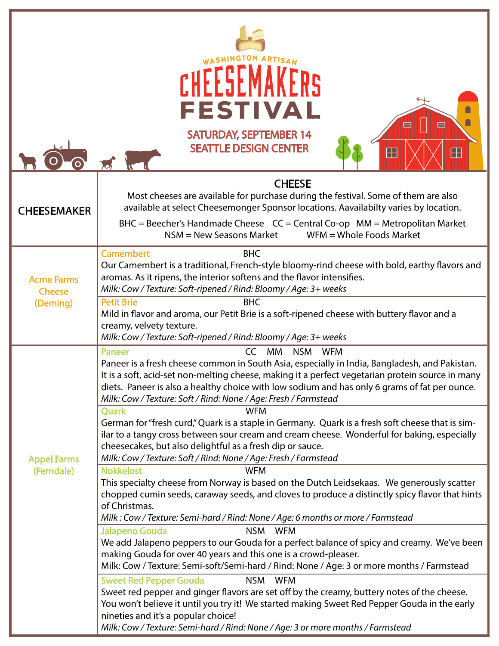| ARTISAN<br><b>FESTIVAL</b><br>ë<br>⊟<br><b>SATURDAY, SEPTEMBER 14</b><br><b>SEATTLE DESIGN CENTER</b><br>$\boxplus$<br>H |                                                                                                                                                                                                                                                                                                                                                                                                                                                                                                                                                                                                                                                                                         |  |
|--------------------------------------------------------------------------------------------------------------------------|-----------------------------------------------------------------------------------------------------------------------------------------------------------------------------------------------------------------------------------------------------------------------------------------------------------------------------------------------------------------------------------------------------------------------------------------------------------------------------------------------------------------------------------------------------------------------------------------------------------------------------------------------------------------------------------------|--|
| <b>CHEESEMAKER</b>                                                                                                       | <b>CHEESE</b><br>Most cheeses are available for purchase during the festival. Some of them are also<br>available at select Cheesemonger Sponsor locations. Aavailabilty varies by location.<br>$BHC = Beecher's Handmade Cheese CC = Central Co-op MM = Metropolitan Market$<br>$NSM = New Seasons Market$<br>$WFM = Whole$ Foods Market                                                                                                                                                                                                                                                                                                                                                |  |
| <b>Acme Farms</b><br><b>Cheese</b><br>(Deming)                                                                           | <b>Camembert</b><br><b>BHC</b><br>Our Camembert is a traditional, French-style bloomy-rind cheese with bold, earthy flavors and<br>aromas. As it ripens, the interior softens and the flavor intensifies.<br>Milk: Cow / Texture: Soft-ripened / Rind: Bloomy / Age: 3+ weeks<br><b>Petit Brie</b><br><b>BHC</b><br>Mild in flavor and aroma, our Petit Brie is a soft-ripened cheese with buttery flavor and a<br>creamy, velvety texture.<br>Milk: Cow / Texture: Soft-ripened / Rind: Bloomy / Age: 3+ weeks                                                                                                                                                                         |  |
| <b>Appel Farms</b><br>(Ferndale)                                                                                         | <b>CC</b><br><b>MM</b><br><b>NSM</b><br><b>WFM</b><br><b>Paneer</b><br>Paneer is a fresh cheese common in South Asia, especially in India, Bangladesh, and Pakistan.<br>It is a soft, acid-set non-melting cheese, making it a perfect vegetarian protein source in many<br>diets. Paneer is also a healthy choice with low sodium and has only 6 grams of fat per ounce.<br>Milk: Cow / Texture: Soft / Rind: None / Age: Fresh / Farmstead<br><b>Ouark</b><br><b>WFM</b><br>German for "fresh curd," Quark is a staple in Germany. Quark is a fresh soft cheese that is sim-<br>ilar to a tangy cross between sour cream and cream cheese. Wonderful for baking, especially           |  |
|                                                                                                                          | cheesecakes, but also delightful as a fresh dip or sauce.<br>Milk: Cow / Texture: Soft / Rind: None / Age: Fresh / Farmstead<br><b>Nokkelost</b><br><b>WFM</b><br>This specialty cheese from Norway is based on the Dutch Leidsekaas. We generously scatter<br>chopped cumin seeds, caraway seeds, and cloves to produce a distinctly spicy flavor that hints<br>of Christmas.<br>Milk: Cow / Texture: Semi-hard / Rind: None / Age: 6 months or more / Farmstead                                                                                                                                                                                                                       |  |
|                                                                                                                          | <b>Jalapeno Gouda</b><br>NSM<br><b>WFM</b><br>We add Jalapeno peppers to our Gouda for a perfect balance of spicy and creamy. We've been<br>making Gouda for over 40 years and this one is a crowd-pleaser.<br>Milk: Cow / Texture: Semi-soft/Semi-hard / Rind: None / Age: 3 or more months / Farmstead<br><b>Sweet Red Pepper Gouda</b><br>NSM<br><b>WFM</b><br>Sweet red pepper and ginger flavors are set off by the creamy, buttery notes of the cheese.<br>You won't believe it until you try it! We started making Sweet Red Pepper Gouda in the early<br>nineties and it's a popular choice!<br>Milk: Cow / Texture: Semi-hard / Rind: None / Age: 3 or more months / Farmstead |  |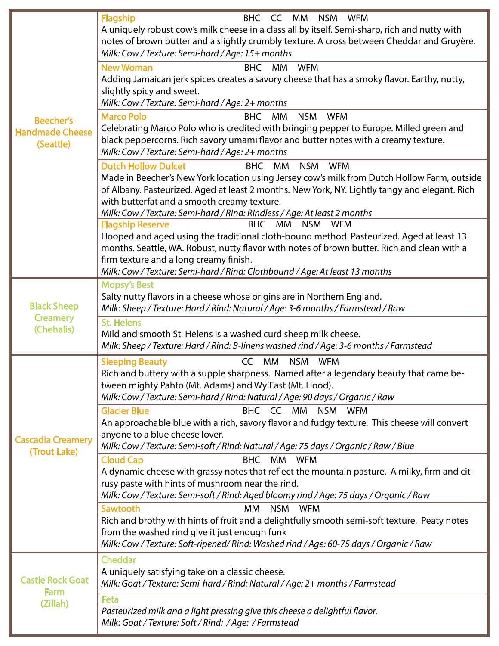| <b>Beecher's</b><br><b>Handmade Cheese</b><br>(Seattle) | <b>Flagship</b><br>BHC CC MM NSM WFM<br>A uniquely robust cow's milk cheese in a class all by itself. Semi-sharp, rich and nutty with<br>notes of brown butter and a slightly crumbly texture. A cross between Cheddar and Gruyère.<br>Milk: Cow / Texture: Semi-hard / Age: 15+ months<br><b>New Woman</b><br><b>BHC</b><br>MM WFM<br>Adding Jamaican jerk spices creates a savory cheese that has a smoky flavor. Earthy, nutty,<br>slightly spicy and sweet.<br>Milk: Cow / Texture: Semi-hard / Age: 2+ months<br><b>Marco Polo</b><br><b>NSM</b><br><b>BHC</b><br>MM<br><b>WFM</b><br>Celebrating Marco Polo who is credited with bringing pepper to Europe. Milled green and<br>black peppercorns. Rich savory umami flavor and butter notes with a creamy texture.<br>Milk: Cow / Texture: Semi-hard / Age: 2+ months |
|---------------------------------------------------------|------------------------------------------------------------------------------------------------------------------------------------------------------------------------------------------------------------------------------------------------------------------------------------------------------------------------------------------------------------------------------------------------------------------------------------------------------------------------------------------------------------------------------------------------------------------------------------------------------------------------------------------------------------------------------------------------------------------------------------------------------------------------------------------------------------------------------|
|                                                         | <b>Dutch Hollow Dulcet</b><br>BHC MM<br><b>WFM</b><br>NSM<br>Made in Beecher's New York location using Jersey cow's milk from Dutch Hollow Farm, outside<br>of Albany. Pasteurized. Aged at least 2 months. New York, NY. Lightly tangy and elegant. Rich<br>with butterfat and a smooth creamy texture.<br>Milk: Cow / Texture: Semi-hard / Rind: Rindless / Age: At least 2 months<br><b>Flagship Reserve</b><br><b>BHC</b><br>MM NSM WFM<br>Hooped and aged using the traditional cloth-bound method. Pasteurized. Aged at least 13<br>months. Seattle, WA. Robust, nutty flavor with notes of brown butter. Rich and clean with a<br>firm texture and a long creamy finish.<br>Milk: Cow / Texture: Semi-hard / Rind: Clothbound / Age: At least 13 months                                                               |
| <b>Black Sheep</b><br><b>Creamery</b><br>(Chehalis)     | <b>Mopsy's Best</b><br>Salty nutty flavors in a cheese whose origins are in Northern England.<br>Milk: Sheep / Texture: Hard / Rind: Natural / Age: 3-6 months / Farmstead / Raw<br><b>St. Helens</b><br>Mild and smooth St. Helens is a washed curd sheep milk cheese.                                                                                                                                                                                                                                                                                                                                                                                                                                                                                                                                                      |
|                                                         | Milk: Sheep / Texture: Hard / Rind: B-linens washed rind / Age: 3-6 months / Farmstead<br><b>Sleeping Beauty</b><br>MM<br>NSM WFM<br>CC                                                                                                                                                                                                                                                                                                                                                                                                                                                                                                                                                                                                                                                                                      |
|                                                         | Rich and buttery with a supple sharpness. Named after a legendary beauty that came be-<br>tween mighty Pahto (Mt. Adams) and Wy'East (Mt. Hood).<br>Milk: Cow / Texture: Semi-hard / Rind: Natural / Age: 90 days / Organic / Raw                                                                                                                                                                                                                                                                                                                                                                                                                                                                                                                                                                                            |
|                                                         | <b>Glacier Blue</b><br>BHC CC MM<br><b>NSM</b><br><b>WFM</b>                                                                                                                                                                                                                                                                                                                                                                                                                                                                                                                                                                                                                                                                                                                                                                 |
|                                                         | An approachable blue with a rich, savory flavor and fudgy texture. This cheese will convert                                                                                                                                                                                                                                                                                                                                                                                                                                                                                                                                                                                                                                                                                                                                  |
| <b>Cascadia Creamery</b><br>(Trout Lake)                | anyone to a blue cheese lover.<br>Milk: Cow / Texture: Semi-soft / Rind: Natural / Age: 75 days / Organic / Raw / Blue                                                                                                                                                                                                                                                                                                                                                                                                                                                                                                                                                                                                                                                                                                       |
|                                                         | <b>Cloud Cap</b><br><b>BHC</b><br>MM WFM                                                                                                                                                                                                                                                                                                                                                                                                                                                                                                                                                                                                                                                                                                                                                                                     |
|                                                         | A dynamic cheese with grassy notes that reflect the mountain pasture. A milky, firm and cit-<br>rusy paste with hints of mushroom near the rind.<br>Milk: Cow / Texture: Semi-soft / Rind: Aged bloomy rind / Age: 75 days / Organic / Raw                                                                                                                                                                                                                                                                                                                                                                                                                                                                                                                                                                                   |
|                                                         | Sawtooth<br><b>MM</b><br>NSM WFM<br>Rich and brothy with hints of fruit and a delightfully smooth semi-soft texture. Peaty notes<br>from the washed rind give it just enough funk<br>Milk: Cow / Texture: Soft-ripened/ Rind: Washed rind / Age: 60-75 days / Organic / Raw                                                                                                                                                                                                                                                                                                                                                                                                                                                                                                                                                  |
| <b>Castle Rock Goat</b><br>Farm<br>(Zillah)             | <b>Cheddar</b><br>A uniquely satisfying take on a classic cheese.<br>Milk: Goat / Texture: Semi-hard / Rind: Natural / Age: 2+ months / Farmstead                                                                                                                                                                                                                                                                                                                                                                                                                                                                                                                                                                                                                                                                            |
|                                                         | <b>Feta</b><br>Pasteurized milk and a light pressing give this cheese a delightful flavor.<br>Milk: Goat / Texture: Soft / Rind: / Age: / Farmstead                                                                                                                                                                                                                                                                                                                                                                                                                                                                                                                                                                                                                                                                          |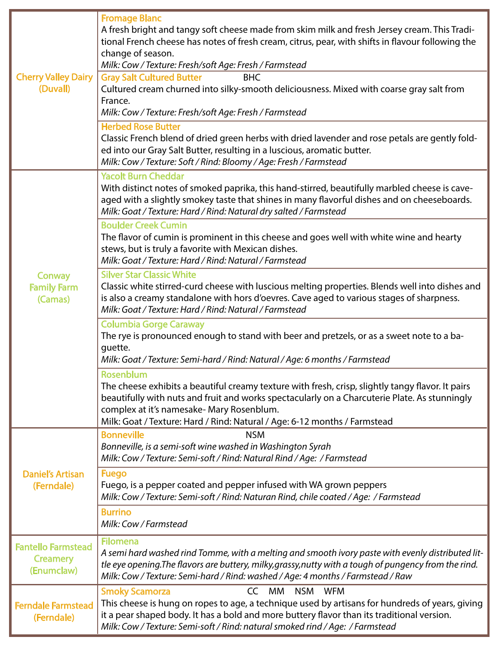| <b>Cherry Valley Dairy</b><br>(Duvall)                     | <b>Fromage Blanc</b><br>A fresh bright and tangy soft cheese made from skim milk and fresh Jersey cream. This Tradi-<br>tional French cheese has notes of fresh cream, citrus, pear, with shifts in flavour following the<br>change of season.<br>Milk: Cow / Texture: Fresh/soft Age: Fresh / Farmstead<br><b>Gray Salt Cultured Butter</b><br><b>BHC</b><br>Cultured cream churned into silky-smooth deliciousness. Mixed with coarse gray salt from<br>France. |
|------------------------------------------------------------|-------------------------------------------------------------------------------------------------------------------------------------------------------------------------------------------------------------------------------------------------------------------------------------------------------------------------------------------------------------------------------------------------------------------------------------------------------------------|
|                                                            | Milk: Cow / Texture: Fresh/soft Age: Fresh / Farmstead<br><b>Herbed Rose Butter</b>                                                                                                                                                                                                                                                                                                                                                                               |
|                                                            | Classic French blend of dried green herbs with dried lavender and rose petals are gently fold-<br>ed into our Gray Salt Butter, resulting in a luscious, aromatic butter.<br>Milk: Cow / Texture: Soft / Rind: Bloomy / Age: Fresh / Farmstead                                                                                                                                                                                                                    |
| <b>Conway</b><br><b>Family Farm</b><br>(Camas)             | <b>Yacolt Burn Cheddar</b><br>With distinct notes of smoked paprika, this hand-stirred, beautifully marbled cheese is cave-<br>aged with a slightly smokey taste that shines in many flavorful dishes and on cheeseboards.<br>Milk: Goat / Texture: Hard / Rind: Natural dry salted / Farmstead                                                                                                                                                                   |
|                                                            | <b>Boulder Creek Cumin</b><br>The flavor of cumin is prominent in this cheese and goes well with white wine and hearty<br>stews, but is truly a favorite with Mexican dishes.<br>Milk: Goat / Texture: Hard / Rind: Natural / Farmstead                                                                                                                                                                                                                           |
|                                                            | <b>Silver Star Classic White</b><br>Classic white stirred-curd cheese with luscious melting properties. Blends well into dishes and<br>is also a creamy standalone with hors d'oevres. Cave aged to various stages of sharpness.<br>Milk: Goat / Texture: Hard / Rind: Natural / Farmstead                                                                                                                                                                        |
|                                                            | <b>Columbia Gorge Caraway</b><br>The rye is pronounced enough to stand with beer and pretzels, or as a sweet note to a ba-<br>guette.<br>Milk: Goat / Texture: Semi-hard / Rind: Natural / Age: 6 months / Farmstead                                                                                                                                                                                                                                              |
|                                                            | Rosenblum<br>The cheese exhibits a beautiful creamy texture with fresh, crisp, slightly tangy flavor. It pairs<br>beautifully with nuts and fruit and works spectacularly on a Charcuterie Plate. As stunningly<br>complex at it's namesake- Mary Rosenblum.<br>Milk: Goat / Texture: Hard / Rind: Natural / Age: 6-12 months / Farmstead                                                                                                                         |
| <b>Daniel's Artisan</b><br>(Ferndale)                      | <b>Bonneville</b><br><b>NSM</b><br>Bonneville, is a semi-soft wine washed in Washington Syrah<br>Milk: Cow / Texture: Semi-soft / Rind: Natural Rind / Age: / Farmstead                                                                                                                                                                                                                                                                                           |
|                                                            | <b>Fuego</b><br>Fuego, is a pepper coated and pepper infused with WA grown peppers<br>Milk: Cow / Texture: Semi-soft / Rind: Naturan Rind, chile coated / Age: / Farmstead                                                                                                                                                                                                                                                                                        |
|                                                            | <b>Burrino</b><br>Milk: Cow / Farmstead                                                                                                                                                                                                                                                                                                                                                                                                                           |
| <b>Fantello Farmstead</b><br><b>Creamery</b><br>(Enumclaw) | <b>Filomena</b><br>A semi hard washed rind Tomme, with a melting and smooth ivory paste with evenly distributed lit-<br>tle eye opening. The flavors are buttery, milky, grassy, nutty with a tough of pungency from the rind.<br>Milk: Cow / Texture: Semi-hard / Rind: washed / Age: 4 months / Farmstead / Raw                                                                                                                                                 |
| <b>Ferndale Farmstead</b><br>(Ferndale)                    | CC MM<br>NSM WFM<br><b>Smoky Scamorza</b><br>This cheese is hung on ropes to age, a technique used by artisans for hundreds of years, giving<br>it a pear shaped body. It has a bold and more buttery flavor than its traditional version.<br>Milk: Cow / Texture: Semi-soft / Rind: natural smoked rind / Age: / Farmstead                                                                                                                                       |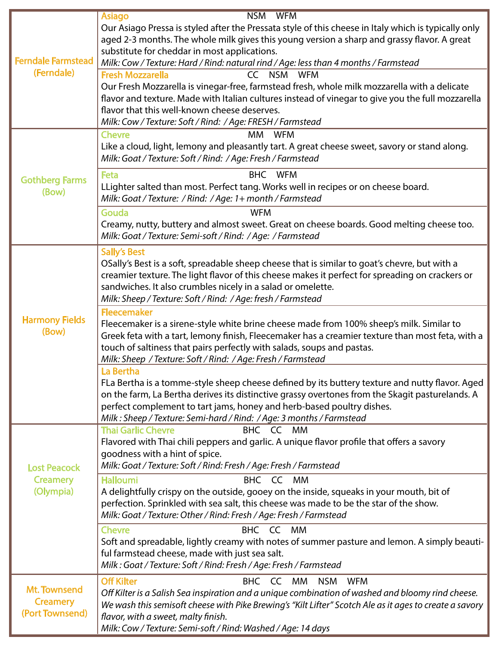|                                                     | <b>NSM</b><br><b>WFM</b><br><b>Asiago</b>                                                                                                                                                                                                                                                                                                                                                                                                                                                                                                                                                 |
|-----------------------------------------------------|-------------------------------------------------------------------------------------------------------------------------------------------------------------------------------------------------------------------------------------------------------------------------------------------------------------------------------------------------------------------------------------------------------------------------------------------------------------------------------------------------------------------------------------------------------------------------------------------|
| <b>Ferndale Farmstead</b><br>(Ferndale)             | Our Asiago Pressa is styled after the Pressata style of this cheese in Italy which is typically only<br>aged 2-3 months. The whole milk gives this young version a sharp and grassy flavor. A great<br>substitute for cheddar in most applications.<br>Milk: Cow / Texture: Hard / Rind: natural rind / Age: less than 4 months / Farmstead<br><b>Fresh Mozzarella</b><br>CC NSM WFM<br>Our Fresh Mozzarella is vinegar-free, farmstead fresh, whole milk mozzarella with a delicate<br>flavor and texture. Made with Italian cultures instead of vinegar to give you the full mozzarella |
|                                                     | flavor that this well-known cheese deserves.<br>Milk: Cow / Texture: Soft / Rind: / Age: FRESH / Farmstead                                                                                                                                                                                                                                                                                                                                                                                                                                                                                |
| <b>Gothberg Farms</b><br>(Bow)                      | МM<br><b>WFM</b><br><b>Chevre</b><br>Like a cloud, light, lemony and pleasantly tart. A great cheese sweet, savory or stand along.<br>Milk: Goat / Texture: Soft / Rind: / Age: Fresh / Farmstead                                                                                                                                                                                                                                                                                                                                                                                         |
|                                                     | Feta<br>BHC WFM<br>LLighter salted than most. Perfect tang. Works well in recipes or on cheese board.<br>Milk: Goat / Texture: / Rind: / Age: 1+ month / Farmstead                                                                                                                                                                                                                                                                                                                                                                                                                        |
|                                                     | Gouda<br><b>WFM</b><br>Creamy, nutty, buttery and almost sweet. Great on cheese boards. Good melting cheese too.<br>Milk: Goat / Texture: Semi-soft / Rind: / Age: / Farmstead                                                                                                                                                                                                                                                                                                                                                                                                            |
| <b>Harmony Fields</b><br>(Bow)                      | <b>Sally's Best</b><br>OSally's Best is a soft, spreadable sheep cheese that is similar to goat's chevre, but with a<br>creamier texture. The light flavor of this cheese makes it perfect for spreading on crackers or<br>sandwiches. It also crumbles nicely in a salad or omelette.<br>Milk: Sheep / Texture: Soft / Rind: / Age: fresh / Farmstead                                                                                                                                                                                                                                    |
|                                                     | <b>Fleecemaker</b><br>Fleecemaker is a sirene-style white brine cheese made from 100% sheep's milk. Similar to<br>Greek feta with a tart, lemony finish, Fleecemaker has a creamier texture than most feta, with a<br>touch of saltiness that pairs perfectly with salads, soups and pastas.<br>Milk: Sheep / Texture: Soft / Rind: / Age: Fresh / Farmstead                                                                                                                                                                                                                              |
|                                                     | La Bertha<br>FLa Bertha is a tomme-style sheep cheese defined by its buttery texture and nutty flavor. Aged<br>on the farm, La Bertha derives its distinctive grassy overtones from the Skagit pasturelands. A<br>perfect complement to tart jams, honey and herb-based poultry dishes.<br>Milk: Sheep / Texture: Semi-hard / Rind: / Age: 3 months / Farmstead                                                                                                                                                                                                                           |
| <b>Lost Peacock</b><br><b>Creamery</b><br>(Olympia) | <b>Thai Garlic Chevre</b><br>BHC CC MM<br>Flavored with Thai chili peppers and garlic. A unique flavor profile that offers a savory<br>goodness with a hint of spice.<br>Milk: Goat / Texture: Soft / Rind: Fresh / Age: Fresh / Farmstead                                                                                                                                                                                                                                                                                                                                                |
|                                                     | <b>Halloumi</b><br>BHC CC MM<br>A delightfully crispy on the outside, gooey on the inside, squeaks in your mouth, bit of<br>perfection. Sprinkled with sea salt, this cheese was made to be the star of the show.<br>Milk: Goat / Texture: Other / Rind: Fresh / Age: Fresh / Farmstead                                                                                                                                                                                                                                                                                                   |
|                                                     | BHC CC MM<br><b>Chevre</b><br>Soft and spreadable, lightly creamy with notes of summer pasture and lemon. A simply beauti-<br>ful farmstead cheese, made with just sea salt.<br>Milk: Goat / Texture: Soft / Rind: Fresh / Age: Fresh / Farmstead                                                                                                                                                                                                                                                                                                                                         |
| Mt. Townsend<br><b>Creamery</b><br>(Port Townsend)  | <b>Off Kilter</b><br>BHC CC<br>МM<br><b>NSM</b><br><b>WFM</b><br>Off Kilter is a Salish Sea inspiration and a unique combination of washed and bloomy rind cheese.<br>We wash this semisoft cheese with Pike Brewing's "Kilt Lifter" Scotch Ale as it ages to create a savory<br>flavor, with a sweet, malty finish.<br>Milk: Cow / Texture: Semi-soft / Rind: Washed / Age: 14 days                                                                                                                                                                                                      |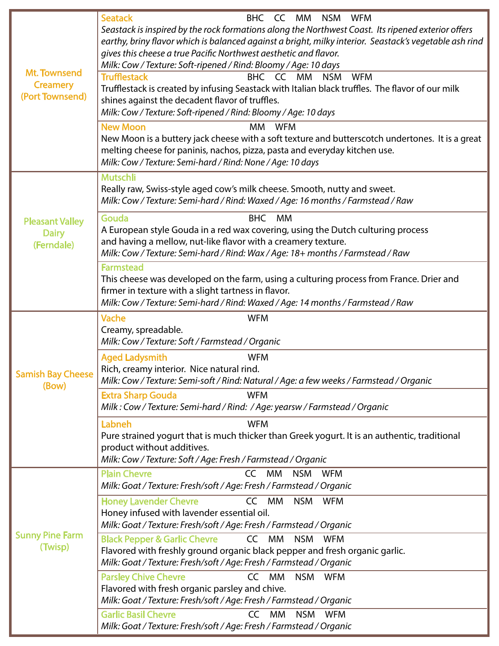| <b>Mt. Townsend</b><br><b>Creamery</b><br>(Port Townsend) | <b>Seatack</b><br>BHC CC MM<br>NSM<br>WFM<br>Seastack is inspired by the rock formations along the Northwest Coast. Its ripened exterior offers<br>earthy, briny flavor which is balanced against a bright, milky interior. Seastack's vegetable ash rind<br>gives this cheese a true Pacific Northwest aesthetic and flavor.<br>Milk: Cow / Texture: Soft-ripened / Rind: Bloomy / Age: 10 days<br><b>Trufflestack</b><br>BHC CC MM<br><b>NSM</b><br><b>WFM</b><br>Trufflestack is created by infusing Seastack with Italian black truffles. The flavor of our milk<br>shines against the decadent flavor of truffles.<br>Milk: Cow / Texture: Soft-ripened / Rind: Bloomy / Age: 10 days<br><b>New Moon</b><br>МM<br><b>WFM</b><br>New Moon is a buttery jack cheese with a soft texture and butterscotch undertones. It is a great<br>melting cheese for paninis, nachos, pizza, pasta and everyday kitchen use. |
|-----------------------------------------------------------|---------------------------------------------------------------------------------------------------------------------------------------------------------------------------------------------------------------------------------------------------------------------------------------------------------------------------------------------------------------------------------------------------------------------------------------------------------------------------------------------------------------------------------------------------------------------------------------------------------------------------------------------------------------------------------------------------------------------------------------------------------------------------------------------------------------------------------------------------------------------------------------------------------------------|
|                                                           | Milk: Cow / Texture: Semi-hard / Rind: None / Age: 10 days                                                                                                                                                                                                                                                                                                                                                                                                                                                                                                                                                                                                                                                                                                                                                                                                                                                          |
| <b>Pleasant Valley</b><br><b>Dairy</b><br>(Ferndale)      | <b>Mutschli</b><br>Really raw, Swiss-style aged cow's milk cheese. Smooth, nutty and sweet.<br>Milk: Cow / Texture: Semi-hard / Rind: Waxed / Age: 16 months / Farmstead / Raw                                                                                                                                                                                                                                                                                                                                                                                                                                                                                                                                                                                                                                                                                                                                      |
|                                                           | Gouda<br><b>BHC</b><br><b>MM</b><br>A European style Gouda in a red wax covering, using the Dutch culturing process<br>and having a mellow, nut-like flavor with a creamery texture.<br>Milk: Cow / Texture: Semi-hard / Rind: Wax / Age: 18+ months / Farmstead / Raw                                                                                                                                                                                                                                                                                                                                                                                                                                                                                                                                                                                                                                              |
|                                                           | <b>Farmstead</b><br>This cheese was developed on the farm, using a culturing process from France. Drier and<br>firmer in texture with a slight tartness in flavor.<br>Milk: Cow / Texture: Semi-hard / Rind: Waxed / Age: 14 months / Farmstead / Raw                                                                                                                                                                                                                                                                                                                                                                                                                                                                                                                                                                                                                                                               |
| <b>Samish Bay Cheese</b><br>(Bow)                         | Vache<br><b>WFM</b><br>Creamy, spreadable.<br>Milk: Cow / Texture: Soft / Farmstead / Organic                                                                                                                                                                                                                                                                                                                                                                                                                                                                                                                                                                                                                                                                                                                                                                                                                       |
|                                                           | <b>Aged Ladysmith</b><br><b>WFM</b><br>Rich, creamy interior. Nice natural rind.<br>Milk: Cow / Texture: Semi-soft / Rind: Natural / Age: a few weeks / Farmstead / Organic                                                                                                                                                                                                                                                                                                                                                                                                                                                                                                                                                                                                                                                                                                                                         |
|                                                           | <b>Extra Sharp Gouda</b><br><b>WFM</b><br>Milk: Cow / Texture: Semi-hard / Rind: / Age: yearsw / Farmstead / Organic                                                                                                                                                                                                                                                                                                                                                                                                                                                                                                                                                                                                                                                                                                                                                                                                |
|                                                           | <b>WFM</b><br>Labneh<br>Pure strained yogurt that is much thicker than Greek yogurt. It is an authentic, traditional<br>product without additives.<br>Milk: Cow / Texture: Soft / Age: Fresh / Farmstead / Organic                                                                                                                                                                                                                                                                                                                                                                                                                                                                                                                                                                                                                                                                                                  |
| <b>Sunny Pine Farm</b><br>(Twisp)                         | <b>Plain Chevre</b><br>CC MM<br><b>NSM</b><br><b>WFM</b><br>Milk: Goat / Texture: Fresh/soft / Age: Fresh / Farmstead / Organic                                                                                                                                                                                                                                                                                                                                                                                                                                                                                                                                                                                                                                                                                                                                                                                     |
|                                                           | <b>Honey Lavender Chevre</b><br>CC MM<br><b>NSM</b><br><b>WFM</b><br>Honey infused with lavender essential oil.<br>Milk: Goat / Texture: Fresh/soft / Age: Fresh / Farmstead / Organic                                                                                                                                                                                                                                                                                                                                                                                                                                                                                                                                                                                                                                                                                                                              |
|                                                           | <b>Black Pepper &amp; Garlic Chevre</b><br>CC MM<br>NSM<br><b>WFM</b><br>Flavored with freshly ground organic black pepper and fresh organic garlic.<br>Milk: Goat / Texture: Fresh/soft / Age: Fresh / Farmstead / Organic                                                                                                                                                                                                                                                                                                                                                                                                                                                                                                                                                                                                                                                                                         |
|                                                           | <b>Parsley Chive Chevre</b><br><b>CC</b><br>МM<br><b>NSM</b><br><b>WFM</b><br>Flavored with fresh organic parsley and chive.<br>Milk: Goat / Texture: Fresh/soft / Age: Fresh / Farmstead / Organic                                                                                                                                                                                                                                                                                                                                                                                                                                                                                                                                                                                                                                                                                                                 |
|                                                           | <b>Garlic Basil Chevre</b><br>CC<br><b>NSM</b><br>МM<br><b>WFM</b><br>Milk: Goat / Texture: Fresh/soft / Age: Fresh / Farmstead / Organic                                                                                                                                                                                                                                                                                                                                                                                                                                                                                                                                                                                                                                                                                                                                                                           |